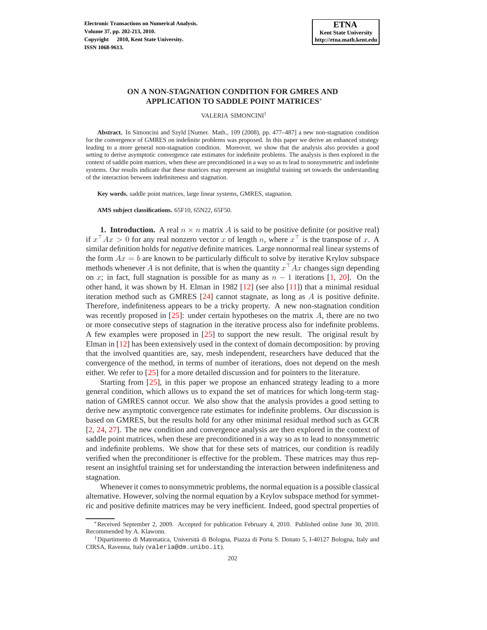# **ON A NON-STAGNATION CONDITION FOR GMRES AND APPLICATION TO SADDLE POINT MATRICES**<sup>∗</sup>

#### VALERIA SIMONCINI†

**Abstract.** In Simoncini and Szyld [Numer. Math., 109 (2008), pp. 477–487] a new non-stagnation condition for the convergence of GMRES on indefinite problems was proposed. In this paper we derive an enhanced strategy leading to a more general non-stagnation condition. Moreover, we show that the analysis also provides a good setting to derive asymptotic convergence rate estimates for indefinite problems. The analysis is then explored in the context of saddle point matrices, when these are preconditioned in a way so as to lead to nonsymmetric and indefinite systems. Our results indicate that these matrices may represent an insightful training set towards the understanding of the interaction between indefiniteness and stagnation.

**Key words.** saddle point matrices, large linear systems, GMRES, stagnation.

**AMS subject classifications.** 65F10, 65N22, 65F50.

**1. Introduction.** A real  $n \times n$  matrix A is said to be positive definite (or positive real) if  $x^{\top}Ax > 0$  for any real nonzero vector x of length n, where  $x^{\top}$  is the transpose of x. A similar definition holds for *negative* definite matrices. Large nonnormal real linear systems of the form  $Ax = b$  are known to be particularly difficult to solve by iterative Krylov subspace methods whenever A is not definite, that is when the quantity  $x^{\top}Ax$  changes sign depending on x; in fact, full stagnation is possible for as many as  $n - 1$  iterations [\[1,](#page-10-0) [20\]](#page-11-0). On the other hand, it was shown by H. Elman in 1982  $[12]$  (see also  $[11]$ ) that a minimal residual iteration method such as GMRES  $[24]$  cannot stagnate, as long as A is positive definite. Therefore, indefiniteness appears to be a tricky property. A new non-stagnation condition was recently proposed in  $[25]$ : under certain hypotheses on the matrix  $A$ , there are no two or more consecutive steps of stagnation in the iterative process also for indefinite problems. A few examples were proposed in [\[25\]](#page-11-4) to support the new result. The original result by Elman in [\[12\]](#page-11-1) has been extensively used in the context of domain decomposition: by proving that the involved quantities are, say, mesh independent, researchers have deduced that the convergence of the method, in terms of number of iterations, does not depend on the mesh either. We refer to [\[25\]](#page-11-4) for a more detailed discussion and for pointers to the literature.

Starting from [\[25\]](#page-11-4), in this paper we propose an enhanced strategy leading to a more general condition, which allows us to expand the set of matrices for which long-term stagnation of GMRES cannot occur. We also show that the analysis provides a good setting to derive new asymptotic convergence rate estimates for indefinite problems. Our discussion is based on GMRES, but the results hold for any other minimal residual method such as GCR [\[2,](#page-10-1) [24,](#page-11-3) [27\]](#page-11-5). The new condition and convergence analysis are then explored in the context of saddle point matrices, when these are preconditioned in a way so as to lead to nonsymmetric and indefinite problems. We show that for these sets of matrices, our condition is readily verified when the preconditioner is effective for the problem. These matrices may thus represent an insightful training set for understanding the interaction between indefiniteness and stagnation.

Whenever it comes to nonsymmetric problems, the normal equation is a possible classical alternative. However, solving the normal equation by a Krylov subspace method for symmetric and positive definite matrices may be very inefficient. Indeed, good spectral properties of

<sup>∗</sup>Received September 2, 2009. Accepted for publication February 4, 2010. Published online June 30, 2010. Recommended by A. Klawonn.

<sup>†</sup>Dipartimento di Matematica, Universit`a di Bologna, Piazza di Porta S. Donato 5, I-40127 Bologna, Italy and CIRSA, Ravenna, Italy (valeria@dm.unibo.it).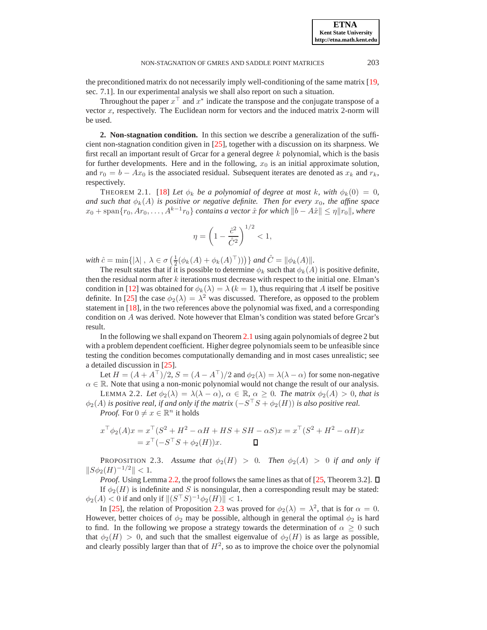the preconditioned matrix do not necessarily imply well-conditioning of the same matrix [\[19,](#page-11-6) sec. 7.1]. In our experimental analysis we shall also report on such a situation.

Throughout the paper  $x^{\top}$  and  $x^*$  indicate the transpose and the conjugate transpose of a vector  $x$ , respectively. The Euclidean norm for vectors and the induced matrix 2-norm will be used.

**2. Non-stagnation condition.** In this section we describe a generalization of the sufficient non-stagnation condition given in [\[25\]](#page-11-4), together with a discussion on its sharpness. We first recall an important result of Grcar for a general degree  $k$  polynomial, which is the basis for further developments. Here and in the following,  $x_0$  is an initial approximate solution, and  $r_0 = b - Ax_0$  is the associated residual. Subsequent iterates are denoted as  $x_k$  and  $r_k$ , respectively.

<span id="page-1-0"></span>THEOREM 2.1. [\[18\]](#page-11-7) Let  $\phi_k$  be a polynomial of degree at most k, with  $\phi_k(0) = 0$ , *and such that*  $\phi_k(A)$  *is positive or negative definite. Then for every*  $x_0$ *, the affine space*  $x_0 + \text{span}\{r_0, Ar_0, \ldots, A^{k-1}r_0\}$  *contains a vector*  $\hat{x}$  *for which*  $\|b - A\hat{x}\| \leq \eta \|r_0\|$ *, where* 

$$
\eta = \left(1 - \frac{\hat{c}^2}{\hat{C}^2}\right)^{1/2} < 1,
$$

with  $\hat{c} = \min\{|\lambda|, \ \lambda \in \sigma\left(\frac{1}{2}(\phi_k(A) + \phi_k(A)^{\top}))\right)\}$  and  $\hat{C} = ||\phi_k(A)||$ .

The result states that if it is possible to determine  $\phi_k$  such that  $\phi_k(A)$  is positive definite, then the residual norm after  $k$  iterations must decrease with respect to the initial one. Elman's condition in [\[12\]](#page-11-1) was obtained for  $\phi_k(\lambda) = \lambda (k = 1)$ , thus requiring that A itself be positive definite. In [\[25\]](#page-11-4) the case  $\phi_2(\lambda) = \lambda^2$  was discussed. Therefore, as opposed to the problem statement in [\[18\]](#page-11-7), in the two references above the polynomial was fixed, and a corresponding condition on A was derived. Note however that Elman's condition was stated before Grcar's result.

In the following we shall expand on Theorem [2.1](#page-1-0) using again polynomials of degree 2 but with a problem dependent coefficient. Higher degree polynomials seem to be unfeasible since testing the condition becomes computationally demanding and in most cases unrealistic; see a detailed discussion in [\[25\]](#page-11-4).

<span id="page-1-1"></span>Let  $H = (A + A^{\top})/2$ ,  $S = (A - A^{\top})/2$  and  $\phi_2(\lambda) = \lambda(\lambda - \alpha)$  for some non-negative  $\alpha \in \mathbb{R}$ . Note that using a non-monic polynomial would not change the result of our analysis. LEMMA 2.2. Let  $\phi_2(\lambda) = \lambda(\lambda - \alpha)$ ,  $\alpha \in \mathbb{R}$ ,  $\alpha \geq 0$ . The matrix  $\phi_2(A) > 0$ , that is

 $\phi_2(A)$  is positive real, if and only if the matrix  $(-S^\top S + \phi_2(H))$  is also positive real. *Proof.* For  $0 \neq x \in \mathbb{R}^n$  it holds

$$
x^{\top} \phi_2(A) x = x^{\top} (S^2 + H^2 - \alpha H + H S + S H - \alpha S) x = x^{\top} (S^2 + H^2 - \alpha H) x
$$
  
=  $x^{\top} (-S^{\top} S + \phi_2(H)) x.$ 

<span id="page-1-2"></span>**PROPOSITION 2.3.** Assume that  $\phi_2(H) > 0$ . Then  $\phi_2(A) > 0$  if and only if  $||S\phi_2(H)^{-1/2}|| < 1.$ 

*Proof.* Using Lemma [2.2,](#page-1-1) the proof follows the same lines as that of [\[25,](#page-11-4) Theorem 3.2].  $\Box$ If  $\phi_2(H)$  is indefinite and S is nonsingular, then a corresponding result may be stated:  $\phi_2(A) < 0$  if and only if  $\|(S^\top S)^{-1} \phi_2(H)\| < 1.$ 

In [\[25\]](#page-11-4), the relation of Proposition [2.3](#page-1-2) was proved for  $\phi_2(\lambda) = \lambda^2$ , that is for  $\alpha = 0$ . However, better choices of  $\phi_2$  may be possible, although in general the optimal  $\phi_2$  is hard to find. In the following we propose a strategy towards the determination of  $\alpha \geq 0$  such that  $\phi_2(H) > 0$ , and such that the smallest eigenvalue of  $\phi_2(H)$  is as large as possible, and clearly possibly larger than that of  $H^2$ , so as to improve the choice over the polynomial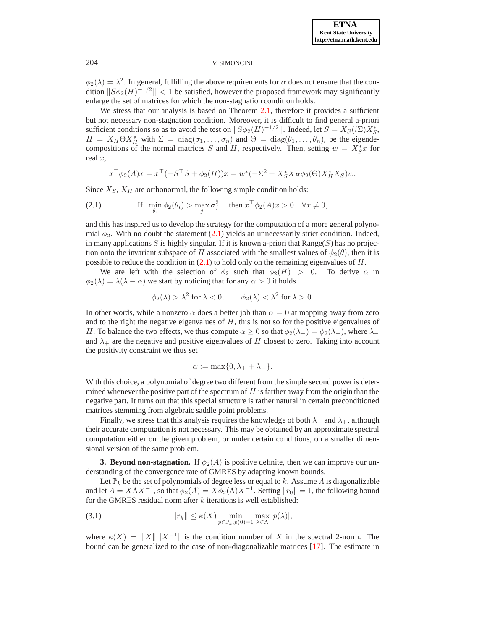$\phi_2(\lambda) = \lambda^2$ . In general, fulfilling the above requirements for  $\alpha$  does not ensure that the condition  $||S\phi_2(H)^{-1/2}|| < 1$  be satisfied, however the proposed framework may significantly enlarge the set of matrices for which the non-stagnation condition holds.

We stress that our analysis is based on Theorem [2.1,](#page-1-0) therefore it provides a sufficient but not necessary non-stagnation condition. Moreover, it is difficult to find general a-priori sufficient conditions so as to avoid the test on  $||S\phi_2(H)^{-1/2}||$ . Indeed, let  $S = X_S(i\Sigma)X_S^*$ ,  $H = X_H \Theta X_H^*$  with  $\Sigma = \text{diag}(\sigma_1, \dots, \sigma_n)$  and  $\Theta = \text{diag}(\theta_1, \dots, \theta_n)$ , be the eigendecompositions of the normal matrices S and H, respectively. Then, setting  $w = X_S^*x$  for real x,

$$
x^{\top} \phi_2(A) x = x^{\top} (-S^{\top} S + \phi_2(H)) x = w^*(-\Sigma^2 + X_S^* X_H \phi_2(\Theta) X_H^* X_S) w.
$$

Since  $X_S$ ,  $X_H$  are orthonormal, the following simple condition holds:

<span id="page-2-0"></span>(2.1) If 
$$
\min_{\theta_i} \phi_2(\theta_i) > \max_j \sigma_j^2
$$
 then  $x^\top \phi_2(A)x > 0 \quad \forall x \neq 0$ ,

and this has inspired us to develop the strategy for the computation of a more general polynomial  $\phi_2$ . With no doubt the statement [\(2.1\)](#page-2-0) yields an unnecessarily strict condition. Indeed, in many applications S is highly singular. If it is known a-priori that  $Range(S)$  has no projection onto the invariant subspace of H associated with the smallest values of  $\phi_2(\theta)$ , then it is possible to reduce the condition in  $(2.1)$  to hold only on the remaining eigenvalues of H.

We are left with the selection of  $\phi_2$  such that  $\phi_2(H) > 0$ . To derive  $\alpha$  in  $\phi_2(\lambda) = \lambda(\lambda - \alpha)$  we start by noticing that for any  $\alpha > 0$  it holds

$$
\phi_2(\lambda) > \lambda^2
$$
 for  $\lambda < 0$ ,  $\phi_2(\lambda) < \lambda^2$  for  $\lambda > 0$ .

In other words, while a nonzero  $\alpha$  does a better job than  $\alpha = 0$  at mapping away from zero and to the right the negative eigenvalues of  $H$ , this is not so for the positive eigenvalues of H. To balance the two effects, we thus compute  $\alpha \geq 0$  so that  $\phi_2(\lambda_-) = \phi_2(\lambda_+)$ , where  $\lambda_$ and  $\lambda_+$  are the negative and positive eigenvalues of H closest to zero. Taking into account the positivity constraint we thus set

$$
\alpha := \max\{0, \lambda_+ + \lambda_-\}.
$$

With this choice, a polynomial of degree two different from the simple second power is determined whenever the positive part of the spectrum of  $H$  is farther away from the origin than the negative part. It turns out that this special structure is rather natural in certain preconditioned matrices stemming from algebraic saddle point problems.

Finally, we stress that this analysis requires the knowledge of both  $\lambda$ – and  $\lambda$ +, although their accurate computation is not necessary. This may be obtained by an approximate spectral computation either on the given problem, or under certain conditions, on a smaller dimensional version of the same problem.

<span id="page-2-2"></span>**3. Beyond non-stagnation.** If  $\phi_2(A)$  is positive definite, then we can improve our understanding of the convergence rate of GMRES by adapting known bounds.

Let  $\mathbb{P}_k$  be the set of polynomials of degree less or equal to k. Assume A is diagonalizable and let  $A = X \Lambda X^{-1}$ , so that  $\phi_2(A) = X \phi_2(\Lambda) X^{-1}$ . Setting  $||r_0|| = 1$ , the following bound for the GMRES residual norm after  $k$  iterations is well established:

<span id="page-2-1"></span>(3.1) 
$$
||r_k|| \leq \kappa(X) \min_{p \in \mathbb{P}_k, p(0)=1} \max_{\lambda \in \Lambda} |p(\lambda)|,
$$

where  $\kappa(X) = ||X|| ||X^{-1}||$  is the condition number of X in the spectral 2-norm. The bound can be generalized to the case of non-diagonalizable matrices [\[17\]](#page-11-8). The estimate in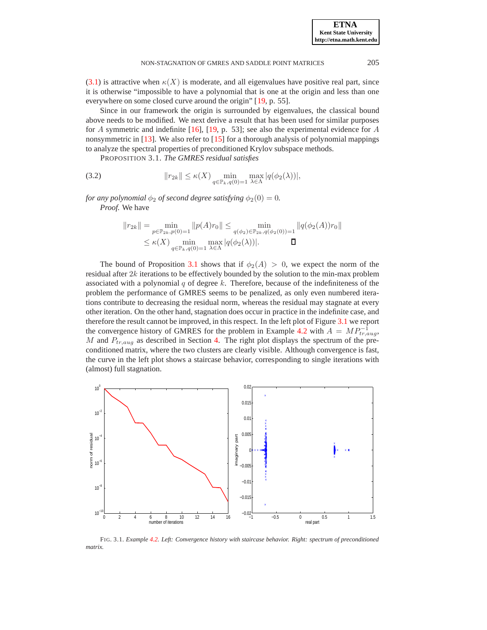[\(3.1\)](#page-2-1) is attractive when  $\kappa(X)$  is moderate, and all eigenvalues have positive real part, since it is otherwise "impossible to have a polynomial that is one at the origin and less than one everywhere on some closed curve around the origin" [\[19,](#page-11-6) p. 55].

Since in our framework the origin is surrounded by eigenvalues, the classical bound above needs to be modified. We next derive a result that has been used for similar purposes for A symmetric and indefinite [\[16\]](#page-11-9), [\[19,](#page-11-6) p. 53]; see also the experimental evidence for A nonsymmetric in  $[13]$ . We also refer to  $[15]$  for a thorough analysis of polynomial mappings to analyze the spectral properties of preconditioned Krylov subspace methods.

PROPOSITION 3.1. *The GMRES residual satisfies*

<span id="page-3-0"></span>(3.2) 
$$
||r_{2k}|| \leq \kappa(X) \min_{q \in \mathbb{P}_k, q(0) = 1} \max_{\lambda \in \Lambda} |q(\phi_2(\lambda))|,
$$

*for any polynomial*  $\phi_2$  *of second degree satisfying*  $\phi_2(0) = 0$ *. Proof.* We have

$$
||r_{2k}|| = \min_{p \in \mathbb{P}_{2k}, p(0)=1} ||p(A)r_0|| \le \min_{q(\phi_2) \in \mathbb{P}_{2k}, q(\phi_2(0))=1} ||q(\phi_2(A))r_0||
$$
  

$$
\le \kappa(X) \min_{q \in \mathbb{P}_k, q(0)=1} \max_{\lambda \in \Lambda} |q(\phi_2(\lambda))|.
$$

The bound of Proposition [3.1](#page-3-0) shows that if  $\phi_2(A) > 0$ , we expect the norm of the residual after  $2k$  iterations to be effectively bounded by the solution to the min-max problem associated with a polynomial  $q$  of degree  $k$ . Therefore, because of the indefiniteness of the problem the performance of GMRES seems to be penalized, as only even numbered iterations contribute to decreasing the residual norm, whereas the residual may stagnate at every other iteration. On the other hand, stagnation does occur in practice in the indefinite case, and therefore the result cannot be improved, in this respect. In the left plot of Figure [3.1](#page-3-1) we report the convergence history of GMRES for the problem in Example [4.2](#page-6-0) with  $A = MP^{-1}_{tr,aug}$ , M and  $P_{tr,aug}$  as described in Section [4.](#page-4-0) The right plot displays the spectrum of the preconditioned matrix, where the two clusters are clearly visible. Although convergence is fast, the curve in the left plot shows a staircase behavior, corresponding to single iterations with (almost) full stagnation.



<span id="page-3-1"></span>FIG. 3.1. *Example [4.2.](#page-6-0) Left: Convergence history with staircase behavior. Right: spectrum of preconditioned matrix.*

**ETNA Kent State University http://etna.math.kent.edu**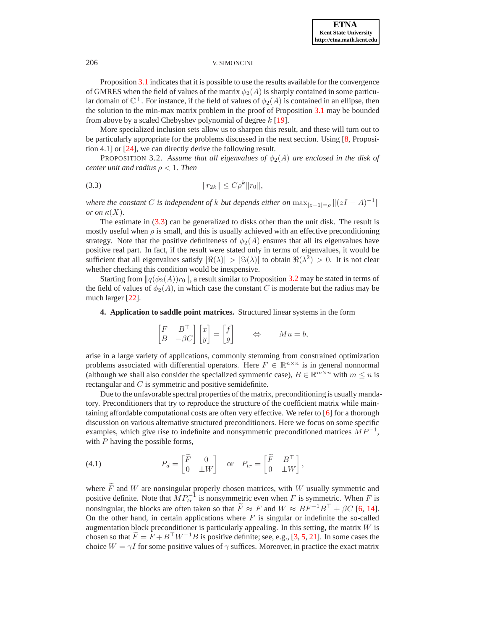Proposition [3.1](#page-3-0) indicates that it is possible to use the results available for the convergence of GMRES when the field of values of the matrix  $\phi_2(A)$  is sharply contained in some particular domain of  $\mathbb{C}^+$ . For instance, if the field of values of  $\phi_2(A)$  is contained in an ellipse, then the solution to the min-max matrix problem in the proof of Proposition [3.1](#page-3-0) may be bounded from above by a scaled Chebyshev polynomial of degree  $k$  [\[19\]](#page-11-6).

More specialized inclusion sets allow us to sharpen this result, and these will turn out to be particularly appropriate for the problems discussed in the next section. Using [\[8,](#page-11-12) Proposition 4.1] or [\[24\]](#page-11-3), we can directly derive the following result.

<span id="page-4-2"></span>**PROPOSITION 3.2.** Assume that all eigenvalues of  $\phi_2(A)$  are enclosed in the disk of *center unit and radius* ρ < 1*. Then*

<span id="page-4-1"></span>
$$
(3.3) \t\t\t\t ||r_{2k}|| \le C\rho^k ||r_0||,
$$

*where the constant* C *is independent of* k *but depends either on*  $\max_{|z-1|=\rho} ||(zI - A)^{-1}||$ *or on*  $\kappa(X)$ .

The estimate in  $(3.3)$  can be generalized to disks other than the unit disk. The result is mostly useful when  $\rho$  is small, and this is usually achieved with an effective preconditioning strategy. Note that the positive definiteness of  $\phi_2(A)$  ensures that all its eigenvalues have positive real part. In fact, if the result were stated only in terms of eigenvalues, it would be sufficient that all eigenvalues satisfy  $|\Re(\lambda)| > |\Im(\lambda)|$  to obtain  $\Re(\lambda^2) > 0$ . It is not clear whether checking this condition would be inexpensive.

<span id="page-4-0"></span>Starting from  $\|q(\phi_2(A))r_0\|$ , a result similar to Proposition [3.2](#page-4-2) may be stated in terms of the field of values of  $\phi_2(A)$ , in which case the constant C is moderate but the radius may be much larger [\[22\]](#page-11-13).

**4. Application to saddle point matrices.** Structured linear systems in the form

$$
\begin{bmatrix} F & B^\top \\ B & -\beta C \end{bmatrix} \begin{bmatrix} x \\ y \end{bmatrix} = \begin{bmatrix} f \\ g \end{bmatrix} \qquad \Leftrightarrow \qquad Mu = b,
$$

arise in a large variety of applications, commonly stemming from constrained optimization problems associated with differential operators. Here  $F \in \mathbb{R}^{n \times n}$  is in general nonnormal (although we shall also consider the specialized symmetric case),  $B \in \mathbb{R}^{m \times n}$  with  $m \leq n$  is rectangular and C is symmetric and positive semidefinite.

Due to the unfavorable spectral properties of the matrix, preconditioning is usually mandatory. Preconditioners that try to reproduce the structure of the coefficient matrix while maintaining affordable computational costs are often very effective. We refer to [\[6\]](#page-10-2) for a thorough discussion on various alternative structured preconditioners. Here we focus on some specific examples, which give rise to indefinite and nonsymmetric preconditioned matrices  $MP^{-1}$ , with  $P$  having the possible forms,

<span id="page-4-3"></span>(4.1) 
$$
P_d = \begin{bmatrix} \widetilde{F} & 0 \\ 0 & \pm W \end{bmatrix} \text{ or } P_{tr} = \begin{bmatrix} \widetilde{F} & B^{\top} \\ 0 & \pm W \end{bmatrix},
$$

where  $\widetilde{F}$  and W are nonsingular properly chosen matrices, with W usually symmetric and positive definite. Note that  $MP_{tr}^{-1}$  is nonsymmetric even when F is symmetric. When F is nonsingular, the blocks are often taken so that  $\widetilde{F} \approx F$  and  $W \approx BF^{-1}B^{\top} + \beta C$  [\[6,](#page-10-2) [14\]](#page-11-14). On the other hand, in certain applications where  $F$  is singular or indefinite the so-called augmentation block preconditioner is particularly appealing. In this setting, the matrix  $W$  is chosen so that  $F = F + B<sup>T</sup> W<sup>-1</sup>B$  is positive definite; see, e.g., [\[3,](#page-10-3) [5,](#page-10-4) [21\]](#page-11-15). In some cases the choice  $W = \gamma I$  for some positive values of  $\gamma$  suffices. Moreover, in practice the exact matrix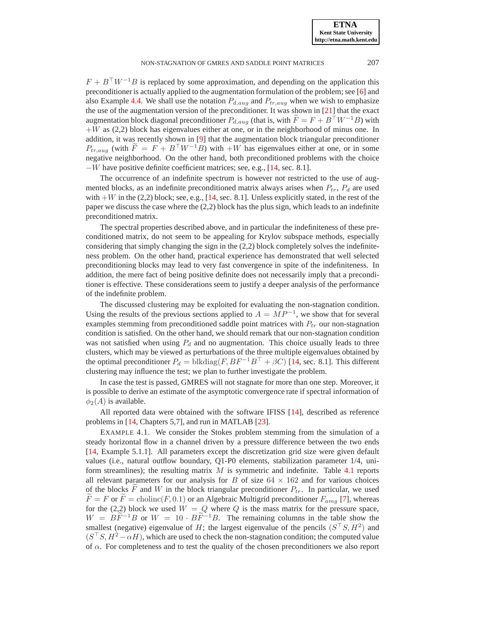**ETNA Kent State University http://etna.math.kent.edu**

 $F + B<sup>T</sup>W<sup>-1</sup>B$  is replaced by some approximation, and depending on the application this preconditioner is actually applied to the augmentation formulation of the problem; see [\[6\]](#page-10-2) and also Example [4.4.](#page-9-0) We shall use the notation  $P_{d,aug}$  and  $P_{tr,aug}$  when we wish to emphasize the use of the augmentation version of the preconditioner. It was shown in [\[21\]](#page-11-15) that the exact augmentation block diagonal preconditioner  $P_{d,aug}$  (that is, with  $F = F + B^T W^{-1}B$ ) with  $+W$  as (2,2) block has eigenvalues either at one, or in the neighborhood of minus one. In addition, it was recently shown in [\[9\]](#page-11-16) that the augmentation block triangular preconditioner  $P_{tr,aug}$  (with  $\widetilde{F} = F + B^{\top}W^{-1}B$ ) with  $+W$  has eigenvalues either at one, or in some negative neighborhood. On the other hand, both preconditioned problems with the choice  $-V$  have positive definite coefficient matrices; see, e.g., [\[14,](#page-11-14) sec. 8.1].

The occurrence of an indefinite spectrum is however not restricted to the use of augmented blocks, as an indefinite preconditioned matrix always arises when  $P_{tr}$ ,  $P_d$  are used with  $+W$  in the (2,2) block; see, e.g., [\[14,](#page-11-14) sec. 8.1]. Unless explicitly stated, in the rest of the paper we discuss the case where the (2,2) block has the plus sign, which leads to an indefinite preconditioned matrix.

The spectral properties described above, and in particular the indefiniteness of these preconditioned matrix, do not seem to be appealing for Krylov subspace methods, especially considering that simply changing the sign in the (2,2) block completely solves the indefiniteness problem. On the other hand, practical experience has demonstrated that well selected preconditioning blocks may lead to very fast convergence in spite of the indefiniteness. In addition, the mere fact of being positive definite does not necessarily imply that a preconditioner is effective. These considerations seem to justify a deeper analysis of the performance of the indefinite problem.

The discussed clustering may be exploited for evaluating the non-stagnation condition. Using the results of the previous sections applied to  $A = MP^{-1}$ , we show that for several examples stemming from preconditioned saddle point matrices with  $P_{tr}$  our non-stagnation condition is satisfied. On the other hand, we should remark that our non-stagnation condition was not satisfied when using  $P_d$  and no augmentation. This choice usually leads to three clusters, which may be viewed as perturbations of the three multiple eigenvalues obtained by the optimal preconditioner  $P_d = \text{blkdiag}(F, BF^{-1}B^{\top} + \beta C)$  [\[14,](#page-11-14) sec. 8.1]. This different clustering may influence the test; we plan to further investigate the problem.

In case the test is passed, GMRES will not stagnate for more than one step. Moreover, it is possible to derive an estimate of the asymptotic convergence rate if spectral information of  $\phi_2(A)$  is available.

All reported data were obtained with the software IFISS [\[14\]](#page-11-14), described as reference problems in [\[14,](#page-11-14) Chapters 5,7], and run in MATLAB [\[23\]](#page-11-17).

<span id="page-5-0"></span>EXAMPLE 4.1. We consider the Stokes problem stemming from the simulation of a steady horizontal flow in a channel driven by a pressure difference between the two ends [\[14,](#page-11-14) Example 5.1.1]. All parameters except the discretization grid size were given default values (i.e., natural outflow boundary, Q1-P0 elements, stabilization parameter 1/4, uniform streamlines); the resulting matrix  $M$  is symmetric and indefinite. Table [4.1](#page-6-1) reports all relevant parameters for our analysis for B of size  $64 \times 162$  and for various choices of the blocks  $\overline{F}$  and  $W$  in the block triangular preconditioner  $P_{tr}$ . In particular, we used  $\overline{F} = F$  or  $\overline{F} = \text{choline}(F, 0.1)$  or an Algebraic Multigrid preconditioner  $F_{amg}$  [\[7\]](#page-11-18), whereas for the (2,2) block we used  $W = Q$  where  $Q$  is the mass matrix for the pressure space,  $W = B\widetilde{F}^{-1}B$  or  $W = 10 \cdot B\widetilde{F}^{-1}B$ . The remaining columns in the table show the smallest (negative) eigenvalue of H; the largest eigenvalue of the pencils  $(S^{\top}S, H^2)$  and  $(S^{\top}S, H^2 - \alpha H)$ , which are used to check the non-stagnation condition; the computed value of  $\alpha$ . For completeness and to test the quality of the chosen preconditioners we also report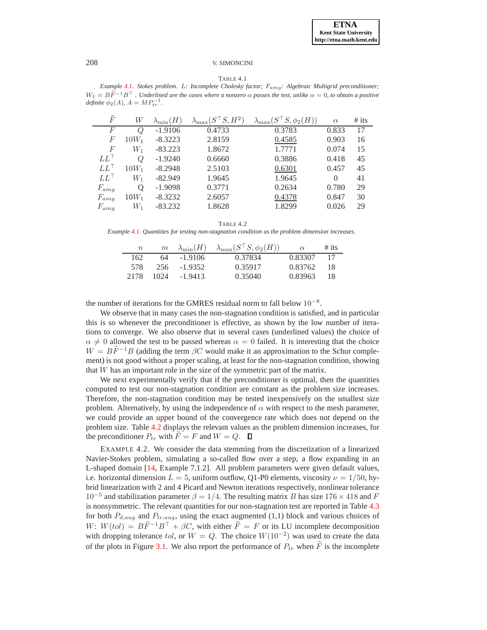#### TABLE 4.1

<span id="page-6-1"></span>*Example [4.1.](#page-5-0) Stokes problem.* L*: Incomplete Cholesky factor;* Famg*: Algebraic Multigrid preconditioner;*  $W_1 = B\widetilde{F}^{-1}B^\top$  *. Underlined are the cases where a nonzero*  $\alpha$  *passes the test, unlike*  $\alpha = 0$ *, to obtain a positive definite*  $\phi_2(A)$ ,  $A = MP_{tr}^{-1}$ .

| $\widetilde{F}$ | W       | $\lambda_{\min}(H)$ | $\lambda_{\max}(S^{\perp}S, H^2)$ | $S, \phi_2(H)$<br>$\lambda_{\max}$ | $\alpha$ | $#$ its |
|-----------------|---------|---------------------|-----------------------------------|------------------------------------|----------|---------|
| F               | Q       | $-1.9106$           | 0.4733                            | 0.3783                             | 0.833    | 17      |
| F               | $10W_1$ | $-8.3223$           | 2.8159                            | 0.4585                             | 0.903    | 16      |
| $\overline{F}$  | $W_1$   | $-83.223$           | 1.8672                            | 1.7771                             | 0.074    | 15      |
| $LL^+$          | Q       | $-1.9240$           | 0.6660                            | 0.3886                             | 0.418    | 45      |
| $LL^{\perp}$    | $10W_1$ | $-8.2948$           | 2.5103                            | 0.6301                             | 0.457    | 45      |
| $LL^+$          | $W_1$   | $-82.949$           | 1.9645                            | 1.9645                             | $\Omega$ | 41      |
| $F_{amg}$       | Q       | $-1.9098$           | 0.3771                            | 0.2634                             | 0.780    | 29      |
| $F_{amg}$       | $10W_1$ | $-8.3232$           | 2.6057                            | 0.4378                             | 0.847    | 30      |
| $F_{amg}$       | $\,W_1$ | $-83.232$           | 1.8628                            | 1.8299                             | 0.026    | 29      |

TABLE 4.2

<span id="page-6-2"></span>*Example [4.1.](#page-5-0) Quantities for testing non-stagnation condition as the problem dimension increases.*

| $\, n$ |      | $m \lambda_{\min}(H)$ | $\lambda_{\max}(S^\top S, \phi_2(H))$ | $\alpha$ | $#$ its |
|--------|------|-----------------------|---------------------------------------|----------|---------|
| 162    | 64   | $-1.9106$             | 0.37834                               | 0.83307  |         |
| 578    | 256. | $-1.9352$             | 0.35917                               | 0.83762  | 18      |
| 2178   | 1024 | $-1.9413$             | 0.35040                               | 0.83963  | 18      |

the number of iterations for the GMRES residual norm to fall below  $10^{-8}$ .

We observe that in many cases the non-stagnation condition is satisfied, and in particular this is so whenever the preconditioner is effective, as shown by the low number of iterations to converge. We also observe that in several cases (underlined values) the choice of  $\alpha \neq 0$  allowed the test to be passed whereas  $\alpha = 0$  failed. It is interesting that the choice  $W = BF^{-1}B$  (adding the term  $\beta C$  would make it an approximation to the Schur complement) is not good without a proper scaling, at least for the non-stagnation condition, showing that W has an important role in the size of the symmetric part of the matrix.

We next experimentally verify that if the preconditioner is optimal, then the quantities computed to test our non-stagnation condition are constant as the problem size increases. Therefore, the non-stagnation condition may be tested inexpensively on the smallest size problem. Alternatively, by using the independence of  $\alpha$  with respect to the mesh parameter, we could provide an upper bound of the convergence rate which does not depend on the problem size. Table [4.2](#page-6-2) displays the relevant values as the problem dimension increases, for the preconditioner  $P_{tr}$  with  $F = F$  and  $W = Q$ .  $\Box$ 

<span id="page-6-0"></span>EXAMPLE 4.2. We consider the data stemming from the discretization of a linearized Navier-Stokes problem, simulating a so-called flow over a step, a flow expanding in an L-shaped domain [\[14,](#page-11-14) Example 7.1.2]. All problem parameters were given default values, i.e. horizontal dimension  $L = 5$ , uniform outflow, Q1-P0 elements, viscosity  $\nu = 1/50$ , hybrid linearization with 2 and 4 Picard and Newton iterations respectively, nonlinear tolerance  $10^{-5}$  and stabilization parameter  $\beta = 1/4$ . The resulting matrix B has size 176 × 418 and F is nonsymmetric. The relevant quantities for our non-stagnation test are reported in Table [4.3](#page-7-0) for both  $P_{d,aug}$  and  $P_{tr,aug}$ , using the exact augmented (1,1) block and various choices of  $W: W(tol) = B\widetilde{F}^{-1}B^{\top} + \beta C$ , with either  $\widetilde{F} = F$  or its LU incomplete decomposition with dropping tolerance tol, or  $W = Q$ . The choice  $W(10^{-2})$  was used to create the data of the plots in Figure [3.1.](#page-3-1) We also report the performance of  $P_{tr}$  when  $\tilde{F}$  is the incomplete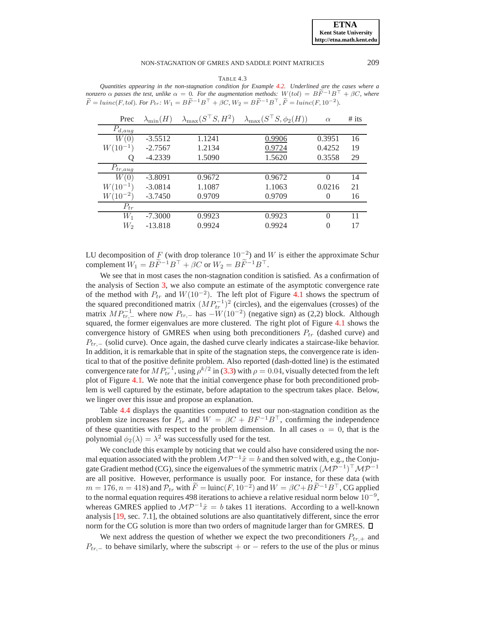# NON-STAGNATION OF GMRES AND SADDLE POINT MATRICES 209

TABLE 4.3

<span id="page-7-0"></span>*Quantities appearing in the non-stagnation condition for Example [4.2.](#page-6-0) Underlined are the cases where a nonzero*  $\alpha$  *passes the test, unlike*  $\alpha = 0$ *. For the augmentation methods:*  $W(tol) = B\widetilde{F}^{-1}B^{\top} + \beta C$ *, where*  $\widetilde{F} = luinc(F, tol)$ *. For*  $P_{tr}$ *:*  $W_1 = B\widetilde{F}^{-1}B^{\top} + \beta C$ *,*  $W_2 = B\widetilde{F}^{-1}B^{\top}$ ,  $\widetilde{F} = luinc(F, 10^{-2})$ *.* 

| Prec                                | $\lambda_{\min}(H)$ | $\lambda_{\max}(S^{\top}S, H^2)$ | $\lambda_{\max}(S^{\perp}S, \phi_2(H))$ | $\alpha$ | $#$ its |
|-------------------------------------|---------------------|----------------------------------|-----------------------------------------|----------|---------|
| $P_{d,a\underline{u}\underline{g}}$ |                     |                                  |                                         |          |         |
| W(0)                                | $-3.5512$           | 1.1241                           | 0.9906                                  | 0.3951   | 16      |
| $W(10^{-1})$                        | $-2.7567$           | 1.2134                           | 0.9724                                  | 0.4252   | 19      |
|                                     | $-4.2339$           | 1.5090                           | 1.5620                                  | 0.3558   | 29      |
| $P_{tr,aug}$                        |                     |                                  |                                         |          |         |
| W(0)                                | $-3.8091$           | 0.9672                           | 0.9672                                  | $\Omega$ | 14      |
| $W(10^{-1})$                        | $-3.0814$           | 1.1087                           | 1.1063                                  | 0.0216   | 21      |
| $W(10^{-2})$                        | $-3.7450$           | 0.9709                           | 0.9709                                  | 0        | 16      |
| $P_{tr}$                            |                     |                                  |                                         |          |         |
| $W_1$                               | $-7.3000$           | 0.9923                           | 0.9923                                  | $\Omega$ | 11      |
| $W_2$                               | $-13.818$           | 0.9924                           | 0.9924                                  | $\Omega$ | 17      |

LU decomposition of F (with drop tolerance  $10^{-2}$ ) and W is either the approximate Schur complement  $W_1 = B\widetilde{F}^{-1}B^{\top} + \beta C$  or  $W_2 = B\widetilde{F}^{-1}B^{\top}$ .

We see that in most cases the non-stagnation condition is satisfied. As a confirmation of the analysis of Section [3,](#page-2-2) we also compute an estimate of the asymptotic convergence rate of the method with  $P_{tr}$  and  $W(10^{-2})$ . The left plot of Figure [4.1](#page-8-0) shows the spectrum of the squared preconditioned matrix  $(MP_{tr}^{-1})^2$  (circles), and the eigenvalues (crosses) of the matrix  $MP_{tr,-}^{-1}$  where now  $P_{tr,-}$  has  $-W(10^{-2})$  (negative sign) as (2,2) block. Although squared, the former eigenvalues are more clustered. The right plot of Figure [4.1](#page-8-0) shows the convergence history of GMRES when using both preconditioners  $P_{tr}$  (dashed curve) and  $P_{tr,-}$  (solid curve). Once again, the dashed curve clearly indicates a staircase-like behavior. In addition, it is remarkable that in spite of the stagnation steps, the convergence rate is identical to that of the positive definite problem. Also reported (dash-dotted line) is the estimated convergence rate for  $MP_{tr}^{-1}$ , using  $\rho^{k/2}$  in [\(3.3\)](#page-4-1) with  $\rho = 0.04$ , visually detected from the left plot of Figure [4.1.](#page-8-0) We note that the initial convergence phase for both preconditioned problem is well captured by the estimate, before adaptation to the spectrum takes place. Below, we linger over this issue and propose an explanation.

Table [4.4](#page-8-1) displays the quantities computed to test our non-stagnation condition as the problem size increases for  $P_{tr}$  and  $W = \beta C + BF^{-1}B^{\top}$ , confirming the independence of these quantities with respect to the problem dimension. In all cases  $\alpha = 0$ , that is the polynomial  $\phi_2(\lambda) = \lambda^2$  was successfully used for the test.

We conclude this example by noticing that we could also have considered using the normal equation associated with the problem  $\mathcal{MP}^{-1}\hat{x} = b$  and then solved with, e.g., the Conjugate Gradient method (CG), since the eigenvalues of the symmetric matrix  $(\mathcal{MP}^{-1})^{\top} \mathcal{MP}^{-1}$ are all positive. However, performance is usually poor. For instance, for these data (with  $m = 176$ ,  $n = 418$ ) and  $\mathcal{P}_{tr}$  with  $\widetilde{F} = \text{luinc}(F, 10^{-2})$  and  $W = \beta C + B\widetilde{F}^{-1}B^{\top}$ , CG applied to the normal equation requires 498 iterations to achieve a relative residual norm below  $10^{-9}$ , whereas GMRES applied to  $\mathcal{MP}^{-1}\hat{x} = b$  takes 11 iterations. According to a well-known analysis [\[19,](#page-11-6) sec. 7.1], the obtained solutions are also quantitatively different, since the error norm for the CG solution is more than two orders of magnitude larger than for GMRES.  $\Box$ 

We next address the question of whether we expect the two preconditioners  $P_{tr,+}$  and  $P_{tr,-}$  to behave similarly, where the subscript + or − refers to the use of the plus or minus

**ETNA Kent State University http://etna.math.kent.edu**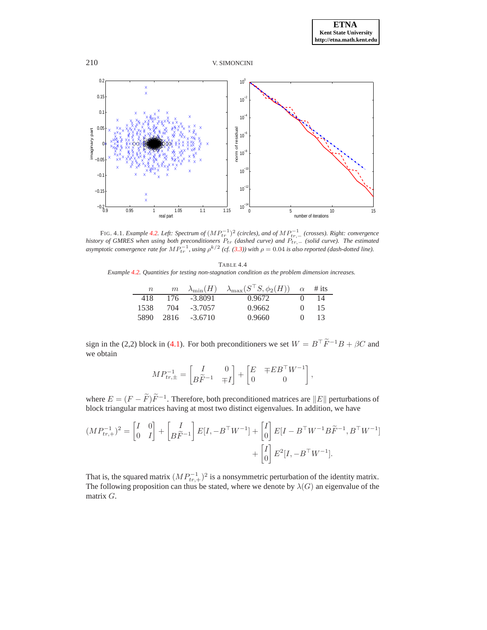



<span id="page-8-0"></span>FIG. 4.1. *Example [4.2.](#page-6-0) Left: Spectrum of*  $(MP_{tr}^{-1})^2$  (circles), and of  $MP_{tr,-}^{-1}$  (crosses). Right: convergence history of GMRES when using both preconditioners  $P_{tr}$  (dashed curve) and  $P_{tr,-}$  (solid curve). The estimated asymptotic convergence rate for  $MP_{tr}^{-1}$ , using  $\rho^{k/2}$  (cf. [\(3.3\)](#page-4-1)) with  $\rho = 0.04$  is also reported (dash

<span id="page-8-1"></span>

|                                                                                                  | TABLE 4.4 |  |  |  |
|--------------------------------------------------------------------------------------------------|-----------|--|--|--|
| Example 4.2. Quantities for testing non-stagnation condition as the problem dimension increases. |           |  |  |  |

| $\, n$ | m    | $\lambda_{\min}(H)$ | $\lambda_{\max}(S^{\top}S, \phi_2(H)) \quad \alpha$ |              | $#$ its |
|--------|------|---------------------|-----------------------------------------------------|--------------|---------|
| 418    | 176  | $-3.8091$           | 0.9672                                              |              | 14      |
| 1538.  | 704  | $-3.7057$           | 0.9662                                              | $\mathbf{0}$ | 15      |
| 5890   | 2816 | $-3.6710$           | 0.9660                                              | $\mathbf{0}$ | 13      |

sign in the (2,2) block in [\(4.1\)](#page-4-3). For both preconditioners we set  $W = B^{\top} \tilde{F}^{-1} B + \beta C$  and we obtain

$$
MP_{tr,\pm}^{-1} = \begin{bmatrix} I & 0 \\ B\widetilde{F}^{-1} & \mp I \end{bmatrix} + \begin{bmatrix} E & \mp E B^{\top} W^{-1} \\ 0 & 0 \end{bmatrix},
$$

where  $E = (F - \tilde{F})\tilde{F}^{-1}$ . Therefore, both preconditioned matrices are  $||E||$  perturbations of block triangular matrices having at most two distinct eigenvalues. In addition, we have

$$
(MP_{tr,+}^{-1})^2 = \begin{bmatrix} I & 0 \\ 0 & I \end{bmatrix} + \begin{bmatrix} I \\ B\tilde{F}^{-1} \end{bmatrix} E[I, -B^{\top}W^{-1}] + \begin{bmatrix} I \\ 0 \end{bmatrix} E[I - B^{\top}W^{-1}B\tilde{F}^{-1}, B^{\top}W^{-1}] + \begin{bmatrix} I \\ 0 \end{bmatrix} E^2[I, -B^{\top}W^{-1}].
$$

That is, the squared matrix  $(MP_{tr,+}^{-1})^2$  is a nonsymmetric perturbation of the identity matrix. The following proposition can thus be stated, where we denote by  $\lambda(G)$  an eigenvalue of the matrix G.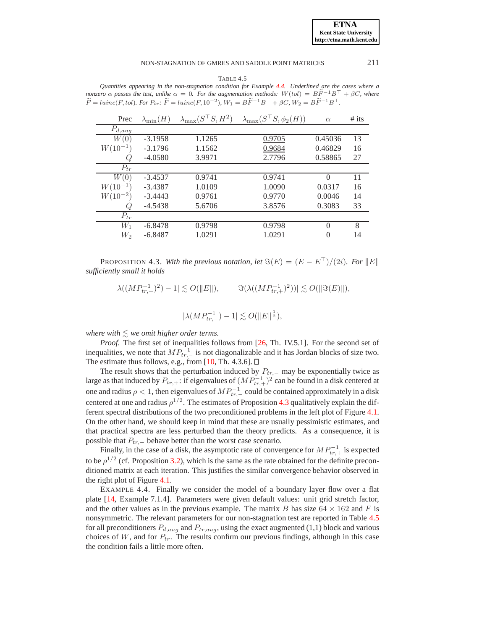# NON-STAGNATION OF GMRES AND SADDLE POINT MATRICES 211

<span id="page-9-2"></span>TABLE 4.5 *Quantities appearing in the non-stagnation condition for Example [4.4.](#page-9-0) Underlined are the cases where a nonzero*  $\alpha$  *passes the test, unlike*  $\alpha = 0$ *. For the augmentation methods:*  $W(tol) = B\widetilde{F}^{-1}B^{\top} + \beta C$ *, where*  $\widetilde{F} = \text{l} \text{u} \text{in} \text{c} (F, \text{tol})$ . For  $P_{tr}$ :  $\widetilde{F} = \text{l} \text{u} \text{in} \text{c} (F, 10^{-2})$ ,  $W_1 = B \widetilde{F}^{-1} B^\top + \beta C$ ,  $W_2 = B \widetilde{F}^{-1} B^\top$ .

| Prec                | $\lambda_{\min}(H)$ | $\lambda_{\max}(S^{\top}S, H^2)$ | $\lambda_{\max}(S^{\perp}S, \phi_2(H))$ | $\alpha$ | $#$ its |
|---------------------|---------------------|----------------------------------|-----------------------------------------|----------|---------|
| $P_{d, \text{aug}}$ |                     |                                  |                                         |          |         |
| W(0)                | $-3.1958$           | 1.1265                           | 0.9705                                  | 0.45036  | 13      |
| W(10)               | $-3.1796$           | 1.1562                           | 0.9684                                  | 0.46829  | 16      |
|                     | $-4.0580$           | 3.9971                           | 2.7796                                  | 0.58865  | 27      |
| $P_{tr}$            |                     |                                  |                                         |          |         |
| W(0)                | $-3.4537$           | 0.9741                           | 0.9741                                  | $\Omega$ | 11      |
| $W(10^{-1})$        | $-3.4387$           | 1.0109                           | 1.0090                                  | 0.0317   | 16      |
| $W(10^{-2})$        | $-3.4443$           | 0.9761                           | 0.9770                                  | 0.0046   | 14      |
| Q                   | $-4.5438$           | 5.6706                           | 3.8576                                  | 0.3083   | 33      |
| $P_{tr}$            |                     |                                  |                                         |          |         |
| $W_1$               | $-6.8478$           | 0.9798                           | 0.9798                                  | $\Omega$ | 8       |
| W,                  | $-6.8487$           | 1.0291                           | 1.0291                                  | $\Omega$ | 14      |

<span id="page-9-1"></span>PROPOSITION 4.3. With the previous notation, let  $\Im(E) = (E - E^{\top})/(2i)$ . For  $||E||$ *sufficiently small it holds*

 $|\lambda((MP_{tr,+}^{-1})^2) - 1| \lesssim O(\Vert E \Vert), \qquad |\Im(\lambda((MP_{tr,+}^{-1})^2))| \lesssim O(\Vert \Im(E) \Vert),$ 

$$
|\lambda(MP_{tr,-}^{-1})-1|\lesssim O(\|E\|^{\frac{1}{2}}),
$$

*where with*  $\leq$  *we omit higher order terms.* 

*Proof*. The first set of inequalities follows from [\[26,](#page-11-19) Th. IV.5.1]. For the second set of inequalities, we note that  $MP_{tr,-}^{-1}$  is not diagonalizable and it has Jordan blocks of size two. The estimate thus follows, e.g., from [\[10,](#page-11-20) Th. 4.3.6].  $\Box$ 

The result shows that the perturbation induced by  $P_{tr,-}$  may be exponentially twice as large as that induced by  $P_{tr,+}$ : if eigenvalues of  $(MP_{tr,+}^{-1})^2$  can be found in a disk centered at one and radius  $\rho < 1$ , then eigenvalues of  $MP_{tr,-}^{-1}$  could be contained approximately in a disk centered at one and radius  $\rho^{1/2}$ . The estimates of Proposition [4.3](#page-9-1) qualitatively explain the different spectral distributions of the two preconditioned problems in the left plot of Figure [4.1.](#page-8-0) On the other hand, we should keep in mind that these are usually pessimistic estimates, and that practical spectra are less perturbed than the theory predicts. As a consequence, it is possible that  $P_{tr,-}$  behave better than the worst case scenario.

Finally, in the case of a disk, the asymptotic rate of convergence for  $MP_{tr,+}^{-1}$  is expected to be  $\rho^{1/2}$  (cf. Proposition [3.2\)](#page-4-2), which is the same as the rate obtained for the definite preconditioned matrix at each iteration. This justifies the similar convergence behavior observed in the right plot of Figure [4.1.](#page-8-0)

<span id="page-9-0"></span>EXAMPLE 4.4. Finally we consider the model of a boundary layer flow over a flat plate [\[14,](#page-11-14) Example 7.1.4]. Parameters were given default values: unit grid stretch factor, and the other values as in the previous example. The matrix B has size  $64 \times 162$  and F is nonsymmetric. The relevant parameters for our non-stagnation test are reported in Table [4.5](#page-9-2) for all preconditioners  $P_{d,aug}$  and  $P_{tr,aug}$ , using the exact augmented (1,1) block and various choices of  $W$ , and for  $P_{tr}$ . The results confirm our previous findings, although in this case the condition fails a little more often.

**ETNA Kent State University http://etna.math.kent.edu**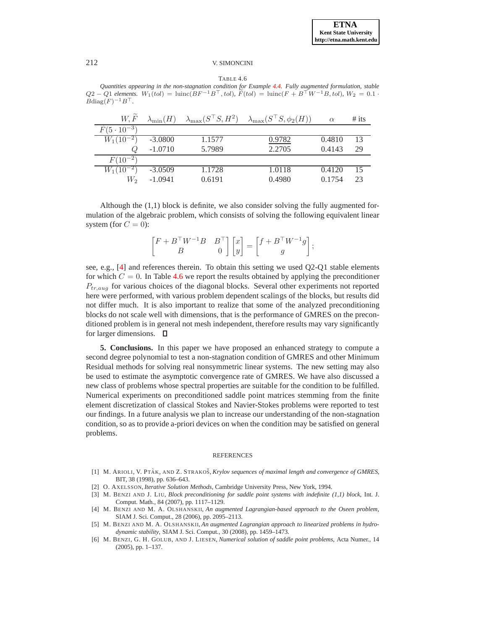<span id="page-10-6"></span>TABLE 4.6 *Quantities appearing in the non-stagnation condition for Example [4.4.](#page-9-0) Fully augmented formulation, stable*  $Q2 - Q1$  *elements.*  $W_1(tol) = \text{lunic}(BF^{-1}B^{\top}, tol)$ *,*  $F(tol) = \text{lunic}(F + B^{\top}W^{-1}B, tol)$ *,*  $W_2 = 0.1$  ·  $B \text{diag}(F)^{-1} B^\top$ .

| W.F                  | $\lambda_{\min}(H)$ | $\lambda_{\max}(S^{\top}S, H^2)$ | $\lambda_{\max}(S^{\perp}S, \phi_2(H))$ | $\alpha$ | $#$ its |
|----------------------|---------------------|----------------------------------|-----------------------------------------|----------|---------|
| $F(5 \cdot 10^{-3})$ |                     |                                  |                                         |          |         |
| $W_1(10^{-2})$       | $-3.0800$           | 1.1577                           | 0.9782                                  | 0.4810   | 13      |
| Q                    | $-1.0710$           | 5.7989                           | 2.2705                                  | 0.4143   | 29      |
| $F(10^{-2})$         |                     |                                  |                                         |          |         |
| $W_1(10^{-2})$       | $-3.0509$           | 1.1728                           | 1.0118                                  | 0.4120   | 15      |
| W,                   | $-1.0941$           | 0.6191                           | 0.4980                                  | 0.1754   | 23      |

Although the (1,1) block is definite, we also consider solving the fully augmented formulation of the algebraic problem, which consists of solving the following equivalent linear system (for  $C = 0$ ):

$$
\begin{bmatrix} F + B^\top W^{-1} B & B^\top \\ B & 0 \end{bmatrix} \begin{bmatrix} x \\ y \end{bmatrix} = \begin{bmatrix} f + B^\top W^{-1} g \\ g \end{bmatrix};
$$

see, e.g., [\[4\]](#page-10-5) and references therein. To obtain this setting we used Q2-Q1 stable elements for which  $C = 0$ . In Table [4.6](#page-10-6) we report the results obtained by applying the preconditioner  $P_{tr,aug}$  for various choices of the diagonal blocks. Several other experiments not reported here were performed, with various problem dependent scalings of the blocks, but results did not differ much. It is also important to realize that some of the analyzed preconditioning blocks do not scale well with dimensions, that is the performance of GMRES on the preconditioned problem is in general not mesh independent, therefore results may vary significantly for larger dimensions.  $\Box$ 

**5. Conclusions.** In this paper we have proposed an enhanced strategy to compute a second degree polynomial to test a non-stagnation condition of GMRES and other Minimum Residual methods for solving real nonsymmetric linear systems. The new setting may also be used to estimate the asymptotic convergence rate of GMRES. We have also discussed a new class of problems whose spectral properties are suitable for the condition to be fulfilled. Numerical experiments on preconditioned saddle point matrices stemming from the finite element discretization of classical Stokes and Navier-Stokes problems were reported to test our findings. In a future analysis we plan to increase our understanding of the non-stagnation condition, so as to provide a-priori devices on when the condition may be satisfied on general problems.

### REFERENCES

- <span id="page-10-1"></span><span id="page-10-0"></span>[1] M. ARIOLI, V. PTAK, AND Z. STRAKOŠ, *Krylov sequences of maximal length and convergence of GMRES*, BIT, 38 (1998), pp. 636–643.
- [2] O. AXELSSON, *Iterative Solution Methods*, Cambridge University Press, New York, 1994.
- <span id="page-10-3"></span>[3] M. BENZI AND J. LIU, *Block preconditioning for saddle point systems with indefinite (1,1) block*, Int. J. Comput. Math., 84 (2007), pp. 1117–1129.
- <span id="page-10-5"></span>[4] M. BENZI AND M. A. OLSHANSKII, *An augmented Lagrangian-based approach to the Oseen problem*, SIAM J. Sci. Comput., 28 (2006), pp. 2095–2113.
- <span id="page-10-4"></span>[5] M. BENZI AND M. A. OLSHANSKII, *An augmented Lagrangian approach to linearized problems in hydrodynamic stability*, SIAM J. Sci. Comput., 30 (2008), pp. 1459–1473.
- <span id="page-10-2"></span>[6] M. BENZI, G. H. GOLUB, AND J. LIESEN, *Numerical solution of saddle point problems*, Acta Numer., 14 (2005), pp. 1–137.